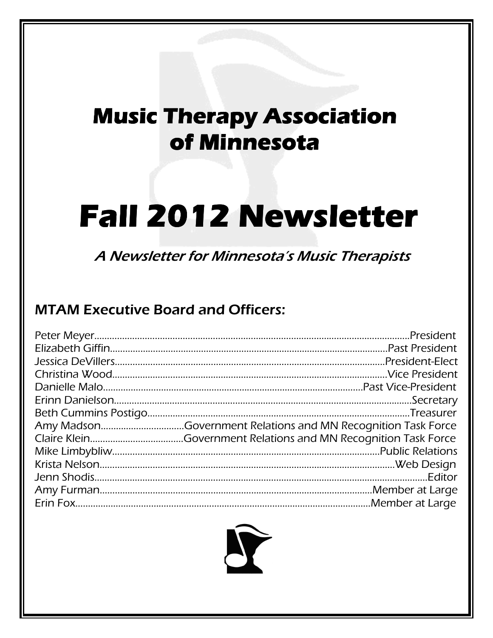## **Music Therapy Association of Minnesota of Minnesota**

# **Fall2012 Newsletter 2012 Newsletter Newsletter**

A Newsletter for Minnesota's Music Therapists

### MTAM Executive Board and Officers:

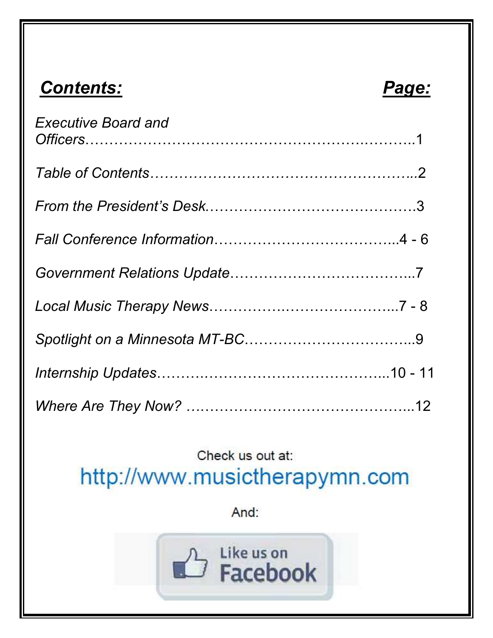## *Contents: Page:*

| <b>Executive Board and</b> |  |
|----------------------------|--|
|                            |  |
|                            |  |
|                            |  |
|                            |  |
|                            |  |
|                            |  |
|                            |  |
|                            |  |

## Check us out at:

http://www.musictherapymn.com

And:

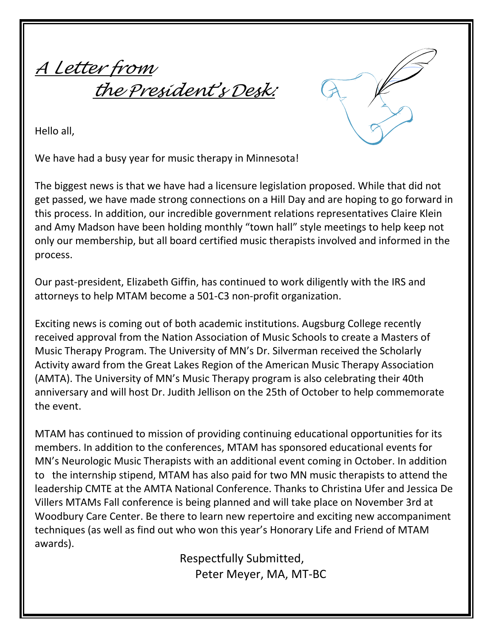A Letter from the President's Desk:

Hello all,

We have had a busy year for music therapy in Minnesota!

The biggest news is that we have had a licensure legislation proposed. While that did not get passed, we have made strong connections on a Hill Day and are hoping to go forward in this process. In addition, our incredible government relations representatives Claire Klein and Amy Madson have been holding monthly "town hall" style meetings to help keep not only our membership, but all board certified music therapists involved and informed in the process.

Our past-president, Elizabeth Giffin, has continued to work diligently with the IRS and attorneys to help MTAM become a 501-C3 non-profit organization.

Exciting news is coming out of both academic institutions. Augsburg College recently received approval from the Nation Association of Music Schools to create a Masters of Music Therapy Program. The University of MN's Dr. Silverman received the Scholarly Activity award from the Great Lakes Region of the American Music Therapy Association (AMTA). The University of MN's Music Therapy program is also celebrating their 40th anniversary and will host Dr. Judith Jellison on the 25th of October to help commemorate the event.

MTAM has continued to mission of providing continuing educational opportunities for its members. In addition to the conferences, MTAM has sponsored educational events for MN's Neurologic Music Therapists with an additional event coming in October. In addition to the internship stipend, MTAM has also paid for two MN music therapists to attend the leadership CMTE at the AMTA National Conference. Thanks to Christina Ufer and Jessica De Villers MTAMs Fall conference is being planned and will take place on November 3rd at Woodbury Care Center. Be there to learn new repertoire and exciting new accompaniment techniques (as well as find out who won this year's Honorary Life and Friend of MTAM awards).

> Respectfully Submitted, Peter Meyer, MA, MT-BC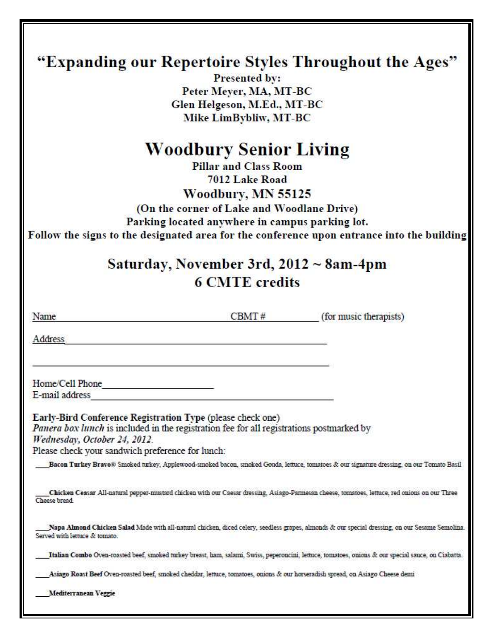| "Expanding our Repertoire Styles Throughout the Ages" |                                                                                          |                                                                                                                                                     |  |  |                                         |
|-------------------------------------------------------|------------------------------------------------------------------------------------------|-----------------------------------------------------------------------------------------------------------------------------------------------------|--|--|-----------------------------------------|
|                                                       |                                                                                          |                                                                                                                                                     |  |  | Presented by:<br>Peter Meyer, MA, MT-BC |
|                                                       | Glen Helgeson, M.Ed., MT-BC                                                              |                                                                                                                                                     |  |  |                                         |
|                                                       |                                                                                          |                                                                                                                                                     |  |  |                                         |
|                                                       | Mike LimBybliw, MT-BC                                                                    |                                                                                                                                                     |  |  |                                         |
|                                                       | <b>Woodbury Senior Living</b>                                                            |                                                                                                                                                     |  |  |                                         |
| <b>Pillar and Class Room</b>                          |                                                                                          |                                                                                                                                                     |  |  |                                         |
| 7012 Lake Road                                        |                                                                                          |                                                                                                                                                     |  |  |                                         |
|                                                       | Woodbury, MN 55125                                                                       |                                                                                                                                                     |  |  |                                         |
|                                                       | (On the corner of Lake and Woodlane Drive)                                               |                                                                                                                                                     |  |  |                                         |
|                                                       | Parking located anywhere in campus parking lot.                                          |                                                                                                                                                     |  |  |                                         |
|                                                       |                                                                                          | Follow the signs to the designated area for the conference upon entrance into the building                                                          |  |  |                                         |
|                                                       |                                                                                          |                                                                                                                                                     |  |  |                                         |
|                                                       | Saturday, November 3rd, $2012 \sim 8$ am-4pm                                             |                                                                                                                                                     |  |  |                                         |
|                                                       | <b>6 CMTE</b> credits                                                                    |                                                                                                                                                     |  |  |                                         |
|                                                       |                                                                                          |                                                                                                                                                     |  |  |                                         |
|                                                       |                                                                                          |                                                                                                                                                     |  |  |                                         |
| Name                                                  | CBMT#                                                                                    | (for music therapists)                                                                                                                              |  |  |                                         |
| Address                                               |                                                                                          |                                                                                                                                                     |  |  |                                         |
|                                                       |                                                                                          |                                                                                                                                                     |  |  |                                         |
|                                                       |                                                                                          |                                                                                                                                                     |  |  |                                         |
| Home/Cell Phone                                       |                                                                                          |                                                                                                                                                     |  |  |                                         |
| E-mail address                                        |                                                                                          |                                                                                                                                                     |  |  |                                         |
|                                                       | Early-Bird Conference Registration Type (please check one)                               |                                                                                                                                                     |  |  |                                         |
|                                                       | Panera box lunch is included in the registration fee for all registrations postmarked by |                                                                                                                                                     |  |  |                                         |
| Wednesday, October 24, 2012.                          |                                                                                          |                                                                                                                                                     |  |  |                                         |
| Please check your sandwich preference for lunch:      |                                                                                          |                                                                                                                                                     |  |  |                                         |
|                                                       |                                                                                          | Bacon Turkey Bravo® Smoked turkey, Applewood-smoked bacon, smoked Gouda, lettuce, tomatoes & our signature dressing, on our Tomato Basil            |  |  |                                         |
| Cheese bread                                          |                                                                                          | Chicken Ceasar All-natural pepper-mustard chicken with our Caesar dressing, Asiago-Parmesan cheese, tomatoes, lettuce, red onions on our Three      |  |  |                                         |
| Served with lettuce & tomato.                         |                                                                                          | Napa Almond Chicken Salad Made with all-natural chicken, diced celery, seedless grapes, almonds & our special dressing, on our Sesame Semolina.     |  |  |                                         |
|                                                       |                                                                                          | Italian Combo Oven-roasted beef, smoked turkey breast, ham, salami, Swiss, peperoncini, lettuce, tomatoes, onions & our special sauce, on Ciabatta. |  |  |                                         |
|                                                       |                                                                                          | Asiago Roast Beef Oven-roasted beef, smoked cheddar, lettuce, tomatoes, onions & our horseradish spread, on Asiago Cheese demi                      |  |  |                                         |
| Mediterranean Veggie                                  |                                                                                          |                                                                                                                                                     |  |  |                                         |
|                                                       |                                                                                          |                                                                                                                                                     |  |  |                                         |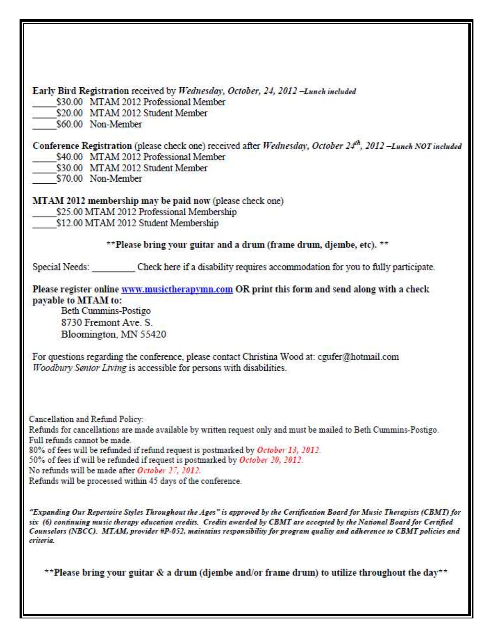| Early Bird Registration received by Wednesday, October, 24, 2012 -Lunch included                                                                                                                                                                                                                                                                                                                       |  |
|--------------------------------------------------------------------------------------------------------------------------------------------------------------------------------------------------------------------------------------------------------------------------------------------------------------------------------------------------------------------------------------------------------|--|
| \$30.00 MTAM 2012 Professional Member                                                                                                                                                                                                                                                                                                                                                                  |  |
| \$20.00 MTAM 2012 Student Member                                                                                                                                                                                                                                                                                                                                                                       |  |
| \$60.00 Non-Member                                                                                                                                                                                                                                                                                                                                                                                     |  |
| Conference Registration (please check one) received after Wednesday, October 24th, 2012 -Lunch NOT included<br>\$40.00 MTAM 2012 Professional Member                                                                                                                                                                                                                                                   |  |
| \$30.00 MTAM 2012 Student Member                                                                                                                                                                                                                                                                                                                                                                       |  |
| \$70.00 Non-Member                                                                                                                                                                                                                                                                                                                                                                                     |  |
| <b>MTAM 2012 membership may be paid now (please check one)</b>                                                                                                                                                                                                                                                                                                                                         |  |
| \$25.00 MTAM 2012 Professional Membership                                                                                                                                                                                                                                                                                                                                                              |  |
| \$12.00 MTAM 2012 Student Membership                                                                                                                                                                                                                                                                                                                                                                   |  |
| **Please bring your guitar and a drum (frame drum, djembe, etc). **                                                                                                                                                                                                                                                                                                                                    |  |
| Special Needs: Check here if a disability requires accommodation for you to fully participate.                                                                                                                                                                                                                                                                                                         |  |
| Please register online www.musictherapymn.com OR print this form and send along with a check                                                                                                                                                                                                                                                                                                           |  |
| payable to MTAM to:                                                                                                                                                                                                                                                                                                                                                                                    |  |
| Beth Cummins-Postigo                                                                                                                                                                                                                                                                                                                                                                                   |  |
| 8730 Fremont Ave. S.                                                                                                                                                                                                                                                                                                                                                                                   |  |
| Bloomington, MN 55420                                                                                                                                                                                                                                                                                                                                                                                  |  |
| For questions regarding the conference, please contact Christina Wood at: cgufer@hotmail.com<br>Woodbury Senior Living is accessible for persons with disabilities.                                                                                                                                                                                                                                    |  |
| Cancellation and Refund Policy:                                                                                                                                                                                                                                                                                                                                                                        |  |
| Refunds for cancellations are made available by written request only and must be mailed to Beth Cummins-Postigo.                                                                                                                                                                                                                                                                                       |  |
| Full refunds cannot be made.                                                                                                                                                                                                                                                                                                                                                                           |  |
| 80% of fees will be refunded if refund request is postmarked by October 13, 2012.                                                                                                                                                                                                                                                                                                                      |  |
| 50% of fees if will be refunded if request is postmarked by October 20, 2012.<br>No refunds will be made after October 27, 2012.                                                                                                                                                                                                                                                                       |  |
| Refunds will be processed within 45 days of the conference.                                                                                                                                                                                                                                                                                                                                            |  |
|                                                                                                                                                                                                                                                                                                                                                                                                        |  |
| "Expanding Our Repertoire Styles Throughout the Ages" is approved by the Certification Board for Music Therapists (CBMT) for<br>six (6) continuing music therapy education credits. Credits awarded by CBMT are accepted by the National Board for Certified<br>Counselors (NBCC). MTAM, provider #P-052, maintains responsibility for program quality and adherence to CBMT policies and<br>criteria. |  |
| **Please bring your guitar & a drum (djembe and/or frame drum) to utilize throughout the day**                                                                                                                                                                                                                                                                                                         |  |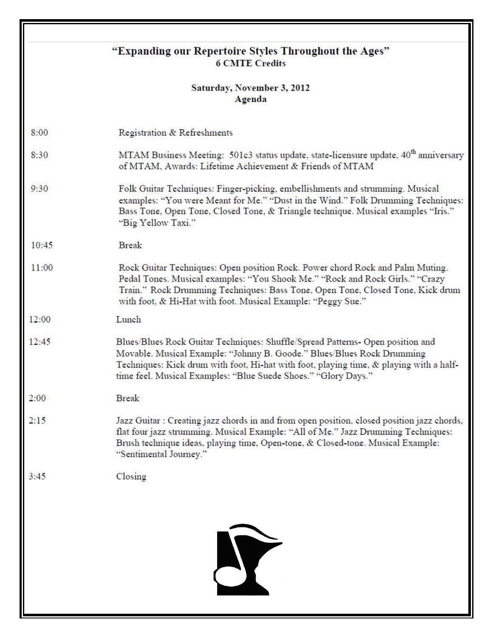| "Expanding our Repertoire Styles Throughout the Ages"<br><b>6 CMTE Credits</b> |                                                                                                                                                                                                                                                                                                                       |  |
|--------------------------------------------------------------------------------|-----------------------------------------------------------------------------------------------------------------------------------------------------------------------------------------------------------------------------------------------------------------------------------------------------------------------|--|
|                                                                                | Saturday, November 3, 2012<br>Agenda                                                                                                                                                                                                                                                                                  |  |
| 8:00                                                                           | Registration & Refreshments                                                                                                                                                                                                                                                                                           |  |
| 8:30                                                                           | MTAM Business Meeting: 501c3 status update, state-licensure update, 40 <sup>th</sup> anniversary<br>of MTAM, Awards: Lifetime Achievement & Friends of MTAM                                                                                                                                                           |  |
| 9:30                                                                           | Folk Guitar Techniques: Finger-picking, embellishments and strumming. Musical<br>examples: "You were Meant for Me." "Dust in the Wind." Folk Drumming Techniques:<br>Bass Tone, Open Tone, Closed Tone, & Triangle technique. Musical examples "Iris."<br>"Big Yellow Taxi."                                          |  |
| 10:45                                                                          | <b>Break</b>                                                                                                                                                                                                                                                                                                          |  |
| 11:00                                                                          | Rock Guitar Techniques: Open position Rock. Power chord Rock and Palm Muting.<br>Pedal Tones. Musical examples: "You Shook Me." "Rock and Rock Girls." "Crazy<br>Train." Rock Drumming Techniques: Bass Tone, Open Tone, Closed Tone, Kick drum<br>with foot, & Hi-Hat with foot. Musical Example: "Peggy Sue."       |  |
| 12:00                                                                          | Lunch                                                                                                                                                                                                                                                                                                                 |  |
| 12:45                                                                          | Blues/Blues Rock Guitar Techniques: Shuffle/Spread Patterns- Open position and<br>Movable. Musical Example: "Johnny B. Goode." Blues/Blues Rock Drumming<br>Techniques: Kick drum with foot, Hi-hat with foot, playing time, & playing with a half-<br>time feel. Musical Examples: "Blue Suede Shoes." "Glory Days." |  |
| 2:00                                                                           | <b>Break</b>                                                                                                                                                                                                                                                                                                          |  |
| 2:15                                                                           | Jazz Guitar : Creating jazz chords in and from open position, closed position jazz chords,<br>flat four jazz strumming. Musical Example: "All of Me." Jazz Drumming Techniques:<br>Brush technique ideas, playing time, Open-tone, & Closed-tone. Musical Example:<br>"Sentimental Journey."                          |  |
| 3:45                                                                           | Closing                                                                                                                                                                                                                                                                                                               |  |
|                                                                                | Y                                                                                                                                                                                                                                                                                                                     |  |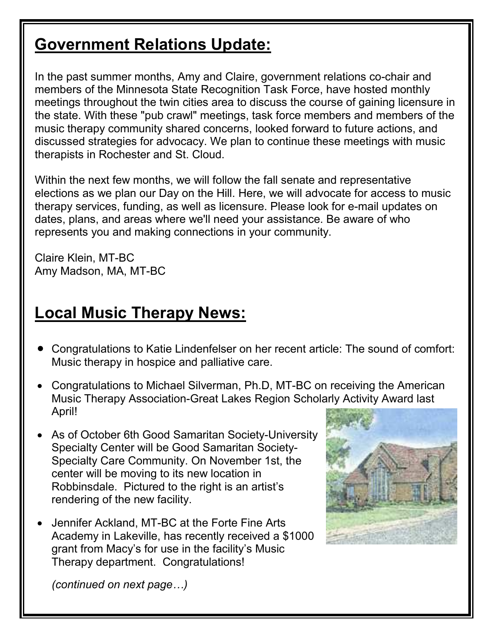## **Government Relations Update:**

In the past summer months, Amy and Claire, government relations co-chair and members of the Minnesota State Recognition Task Force, have hosted monthly meetings throughout the twin cities area to discuss the course of gaining licensure in the state. With these "pub crawl" meetings, task force members and members of the music therapy community shared concerns, looked forward to future actions, and discussed strategies for advocacy. We plan to continue these meetings with music therapists in Rochester and St. Cloud.

Within the next few months, we will follow the fall senate and representative elections as we plan our Day on the Hill. Here, we will advocate for access to music therapy services, funding, as well as licensure. Please look for e-mail updates on dates, plans, and areas where we'll need your assistance. Be aware of who represents you and making connections in your community.

Claire Klein, MT-BC Amy Madson, MA, MT-BC

## **Local Music Therapy News:**

- [Congratulations to Katie Lindenfelser on her recent article: The sound of comfort:](http://musictherapymn.com/wordpress/2012/06/26/congratulations-to-katie-lindenfelser-on-her-recent-article-the-sound-of-comfort-music-therapy-in-hospice-and-palliative-care/)  [Music therapy in hospice and palliative care.](http://musictherapymn.com/wordpress/2012/06/26/congratulations-to-katie-lindenfelser-on-her-recent-article-the-sound-of-comfort-music-therapy-in-hospice-and-palliative-care/)
- Congratulations to Michael Silverman, Ph.D, MT-BC on receiving the American Music Therapy Association-Great Lakes Region Scholarly Activity Award last April!
- As of October 6th Good Samaritan Society-University Specialty Center will be Good Samaritan Society-Specialty Care Community. On November 1st, the center will be moving to its new location in Robbinsdale. Pictured to the right is an artist's rendering of the new facility.
- Jennifer Ackland, MT-BC at the Forte Fine Arts Academy in Lakeville, has recently received a \$1000 grant from Macy's for use in the facility's Music Therapy department. Congratulations!



*(continued on next page…)*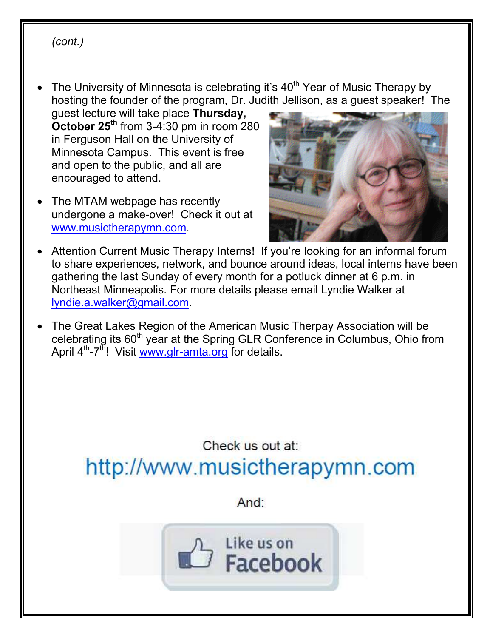#### *(cont.)*

- The University of Minnesota is celebrating it's  $40<sup>th</sup>$  Year of Music Therapy by hosting the founder of the program, Dr. Judith Jellison, as a guest speaker! The
	- guest lecture will take place **Thursday, October 25th** from 3-4:30 pm in room 280 in Ferguson Hall on the University of Minnesota Campus. This event is free and open to the public, and all are encouraged to attend.
- The MTAM webpage has recently undergone a make-over! Check it out at [www.musictherapymn.com](http://www.musictherapymn.com/).



- Attention Current Music Therapy Interns! If you're looking for an informal forum to share experiences, network, and bounce around ideas, local interns have been gathering the last Sunday of every month for a potluck dinner at 6 p.m. in Northeast Minneapolis. For more details please email Lyndie Walker at [lyndie.a.walker@gmail.com](mailto:lyndie.a.walker@gmail.com).
- The Great Lakes Region of the American Music Therpay Association will be celebrating its 60<sup>th</sup> year at the Spring GLR Conference in Columbus, Ohio from April  $4<sup>th</sup> - 7<sup>th</sup>$ ! Visit [www.glr-amta.org](http://www.glr-amta.org/) for details.

## Check us out at: http://www.musictherapymn.com

And:

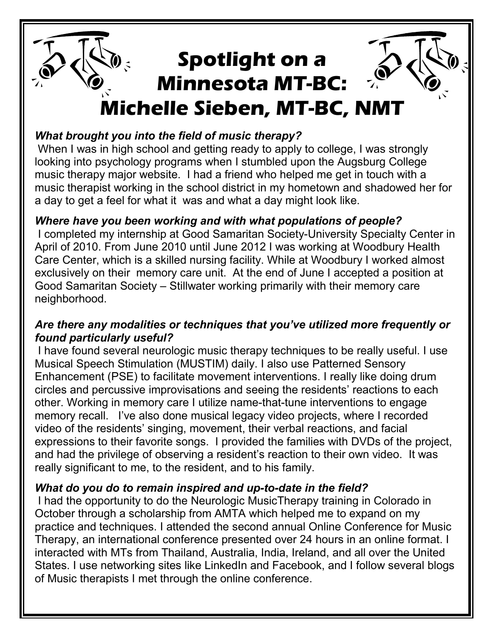## **Spotlight on a Minnesota MT-BC: Michelle Sieben, MT-BC, NMT**

#### *What brought you into the field of music therapy?*

When I was in high school and getting ready to apply to college, I was strongly looking into psychology programs when I stumbled upon the Augsburg College music therapy major website. I had a friend who helped me get in touch with a music therapist working in the school district in my hometown and shadowed her for a day to get a feel for what it was and what a day might look like.

#### *Where have you been working and with what populations of people?*

 I completed my internship at Good Samaritan Society-University Specialty Center in April of 2010. From June 2010 until June 2012 I was working at Woodbury Health Care Center, which is a skilled nursing facility. While at Woodbury I worked almost exclusively on their memory care unit. At the end of June I accepted a position at Good Samaritan Society – Stillwater working primarily with their memory care neighborhood.

#### *Are there any modalities or techniques that you've utilized more frequently or found particularly useful?*

 I have found several neurologic music therapy techniques to be really useful. I use Musical Speech Stimulation (MUSTIM) daily. I also use Patterned Sensory Enhancement (PSE) to facilitate movement interventions. I really like doing drum circles and percussive improvisations and seeing the residents' reactions to each other. Working in memory care I utilize name-that-tune interventions to engage memory recall. I've also done musical legacy video projects, where I recorded video of the residents' singing, movement, their verbal reactions, and facial expressions to their favorite songs. I provided the families with DVDs of the project, and had the privilege of observing a resident's reaction to their own video. It was really significant to me, to the resident, and to his family.

#### *What do you do to remain inspired and up-to-date in the field?*

 I had the opportunity to do the Neurologic MusicTherapy training in Colorado in October through a scholarship from AMTA which helped me to expand on my practice and techniques. I attended the second annual Online Conference for Music Therapy, an international conference presented over 24 hours in an online format. I interacted with MTs from Thailand, Australia, India, Ireland, and all over the United States. I use networking sites like LinkedIn and Facebook, and I follow several blogs of Music therapists I met through the online conference.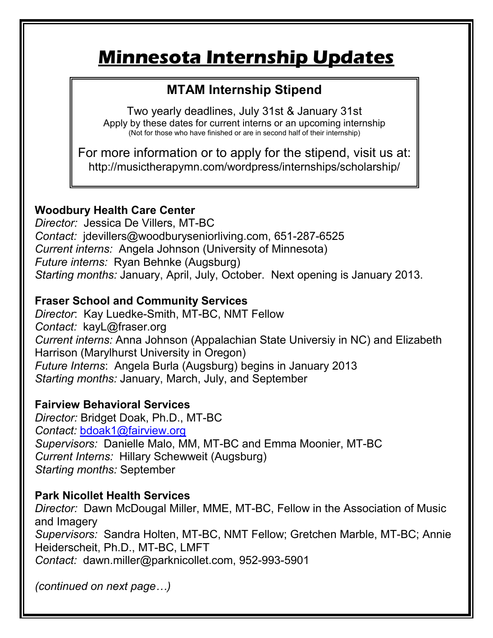## **Minnesota Internship Updates**

### **MTAM Internship Stipend**

Two yearly deadlines, July 31st & January 31st Apply by these dates for current interns or an upcoming internship (Not for those who have finished or are in second half of their internship)

For more information or to apply for the stipend, visit us at: http://musictherapymn.com/wordpress/internships/scholarship/

#### **Woodbury Health Care Center**

*Director:* Jessica De Villers, MT-BC *Contact:* jdevillers@woodburyseniorliving.com, 651-287-6525 *Current interns:* Angela Johnson (University of Minnesota) *Future interns:* Ryan Behnke (Augsburg) *Starting months:* January, April, July, October. Next opening is January 2013.

#### **Fraser School and Community Services**

*Director*: Kay Luedke-Smith, MT-BC, NMT Fellow *Contact:* kayL@fraser.org *Current interns:* Anna Johnson (Appalachian State Universiy in NC) and Elizabeth Harrison (Marylhurst University in Oregon) *Future Interns*: Angela Burla (Augsburg) begins in January 2013 *Starting months:* January, March, July, and September

#### **Fairview Behavioral Services**

*Director:* Bridget Doak, Ph.D., MT-BC *Contact:* [bdoak1@fairview.org](mailto:bdoak1@fairview.org) *Supervisors:* Danielle Malo, MM, MT-BC and Emma Moonier, MT-BC *Current Interns:* Hillary Schewweit (Augsburg) *Starting months:* September

#### **Park Nicollet Health Services**

*Director:* Dawn McDougal Miller, MME, MT-BC, Fellow in the Association of Music and Imagery *Supervisors:* Sandra Holten, MT-BC, NMT Fellow; Gretchen Marble, MT-BC; Annie Heiderscheit, Ph.D., MT-BC, LMFT *Contact:* dawn.miller@parknicollet.com, 952-993-5901

*(continued on next page…)*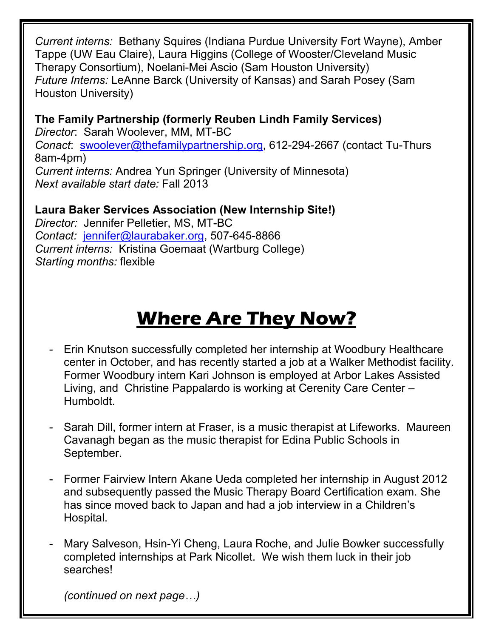*Current interns:* Bethany Squires (Indiana Purdue University Fort Wayne), Amber Tappe (UW Eau Claire), Laura Higgins (College of Wooster/Cleveland Music Therapy Consortium), Noelani-Mei Ascio (Sam Houston University) *Future Interns:* LeAnne Barck (University of Kansas) and Sarah Posey (Sam Houston University)

**The Family Partnership (formerly Reuben Lindh Family Services)**  *Director*: Sarah Woolever, MM, MT-BC *Conact*: [swoolever@thefamilypartnership.org,](mailto:swoolever@thefamilypartnership.org) 612-294-2667 (contact Tu-Thurs 8am-4pm) *Current interns:* Andrea Yun Springer (University of Minnesota) *Next available start date:* Fall 2013

**Laura Baker Services Association (New Internship Site!)**  *Director:* Jennifer Pelletier, MS, MT-BC *Contact:* [jennifer@laurabaker.org,](mailto:jennifer@laurabaker.org) 507-645-8866 *Current interns:* Kristina Goemaat (Wartburg College) *Starting months:* flexible

## **Where Are They Now?**

- Erin Knutson successfully completed her internship at Woodbury Healthcare center in October, and has recently started a job at a Walker Methodist facility. Former Woodbury intern Kari Johnson is employed at Arbor Lakes Assisted Living, and Christine Pappalardo is working at Cerenity Care Center – Humboldt.
- Sarah Dill, former intern at Fraser, is a music therapist at Lifeworks. Maureen Cavanagh began as the music therapist for Edina Public Schools in September.
- Former Fairview Intern Akane Ueda completed her internship in August 2012 and subsequently passed the Music Therapy Board Certification exam. She has since moved back to Japan and had a job interview in a Children's Hospital.
- Mary Salveson, Hsin-Yi Cheng, Laura Roche, and Julie Bowker successfully completed internships at Park Nicollet. We wish them luck in their job searches!

*(continued on next page…)*